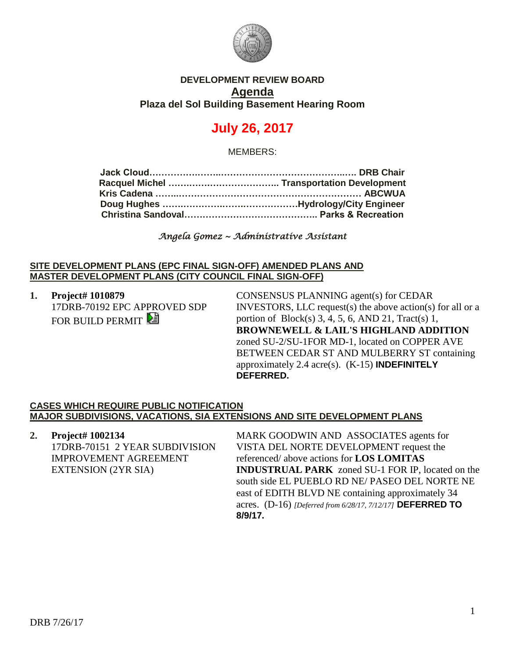

## **DEVELOPMENT REVIEW BOARD Agenda Plaza del Sol Building Basement Hearing Room**

# **July 26, 2017**

MEMBERS:

*Angela Gomez ~ Administrative Assistant* 

#### **SITE DEVELOPMENT PLANS (EPC FINAL SIGN-OFF) AMENDED PLANS AND MASTER DEVELOPMENT PLANS (CITY COUNCIL FINAL SIGN-OFF)**

**1. Project# 1010879** 17DRB-70192 EPC APPROVED SDP FOR BUILD PERMIT

CONSENSUS PLANNING agent(s) for CEDAR INVESTORS, LLC request(s) the above action(s) for all or a portion of  $Block(s)$  3, 4, 5, 6, AND 21, Tract(s) 1, **BROWNEWELL & LAIL'S HIGHLAND ADDITION** zoned SU-2/SU-1FOR MD-1, located on COPPER AVE BETWEEN CEDAR ST AND MULBERRY ST containing approximately 2.4 acre(s). (K-15) **INDEFINITELY DEFERRED.**

#### **CASES WHICH REQUIRE PUBLIC NOTIFICATION MAJOR SUBDIVISIONS, VACATIONS, SIA EXTENSIONS AND SITE DEVELOPMENT PLANS**

**2. Project# 1002134** 17DRB-70151 2 YEAR SUBDIVISION IMPROVEMENT AGREEMENT EXTENSION (2YR SIA)

MARK GOODWIN AND ASSOCIATES agents for VISTA DEL NORTE DEVELOPMENT request the referenced/ above actions for **LOS LOMITAS INDUSTRUAL PARK** zoned SU-1 FOR IP, located on the south side EL PUEBLO RD NE/ PASEO DEL NORTE NE east of EDITH BLVD NE containing approximately 34 acres. (D-16) *[Deferred from 6/28/17, 7/12/17]* **DEFERRED TO 8/9/17.**